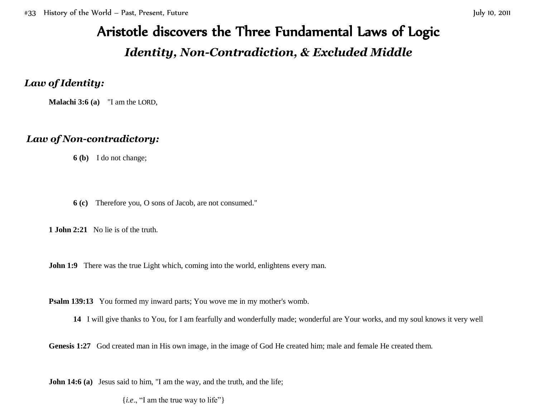# Aristotle discovers the Three Fundamental Laws of Logic *Identity, Non-Contradiction, & Excluded Middle*

## *Law of Identity:*

**Malachi 3:6 (a)** "I am the LORD,

# *Law of Non-contradictory:*

**6 (b)** I do not change;

**6 (c)** Therefore you, O sons of Jacob, are not consumed.''

**1 John 2:21** No lie is of the truth.

**John 1:9** There was the true Light which, coming into the world, enlightens every man.

**Psalm 139:13** You formed my inward parts; You wove me in my mother's womb.

**14** I will give thanks to You, for I am fearfully and wonderfully made; wonderful are Your works, and my soul knows it very well

Genesis 1:27 God created man in His own image, in the image of God He created him; male and female He created them.

**John 14:6** (a) Jesus said to him, "I am the way, and the truth, and the life;

{*i.e*., "I am the true way to life"}